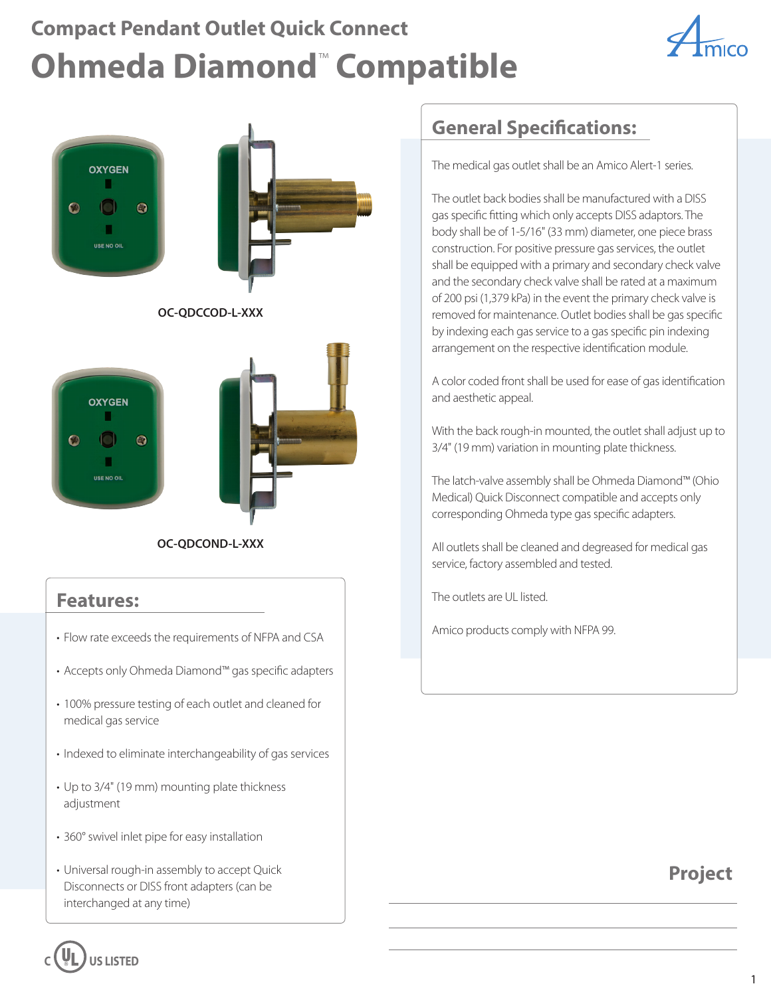# **Compact Pendant Outlet Quick Connect Ohmeda Diamond**™  **Compatible**





**OC-QDCOND-L-XXX**

#### **Features:**

**USE NO OIL** 

 $\bullet$ 

 $\odot$ 

- Flow rate exceeds the requirements of NFPA and CSA **Fig. 1.1 Fig. 2.1 Amico products comply with NFPA 99.**
- Accepts only Ohmeda Diamond™ gas specific adapters
- 100% pressure testing of each outlet and cleaned for medical gas service
- Indexed to eliminate interchangeability of gas services
- Up to 3/4" (19 mm) mounting plate thickness adjustment
- 360° swivel inlet pipe for easy installation
- Universal rough-in assembly to accept Quick Disconnects or DISS front adapters (can be interchanged at any time)

**C US LISTED**

### **General Specifications:**

The medical gas outlet shall be an Amico Alert-1 series.

The outlet back bodies shall be manufactured with a DISS gas specific fitting which only accepts DISS adaptors. The body shall be of 1-5/16" (33 mm) diameter, one piece brass construction. For positive pressure gas services, the outlet shall be equipped with a primary and secondary check valve and the secondary check valve shall be rated at a maximum of 200 psi (1,379 kPa) in the event the primary check valve is removed for maintenance. Outlet bodies shall be gas specific by indexing each gas service to a gas specific pin indexing arrangement on the respective identification module.

A color coded front shall be used for ease of gas identification and aesthetic appeal.

With the back rough-in mounted, the outlet shall adjust up to 3/4" (19 mm) variation in mounting plate thickness.

The latch-valve assembly shall be Ohmeda Diamond™ (Ohio Medical) Quick Disconnect compatible and accepts only corresponding Ohmeda type gas specific adapters.

All outlets shall be cleaned and degreased for medical gas service, factory assembled and tested.

The outlets are UL listed.

#### **Project**

1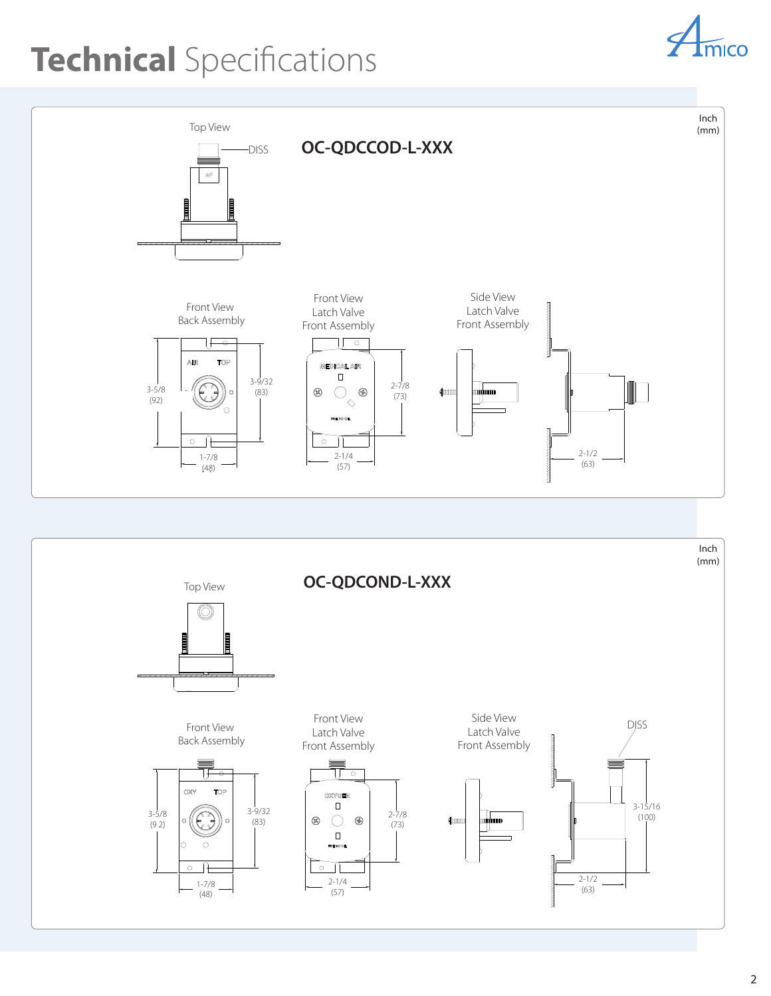# **Technical** Specifications